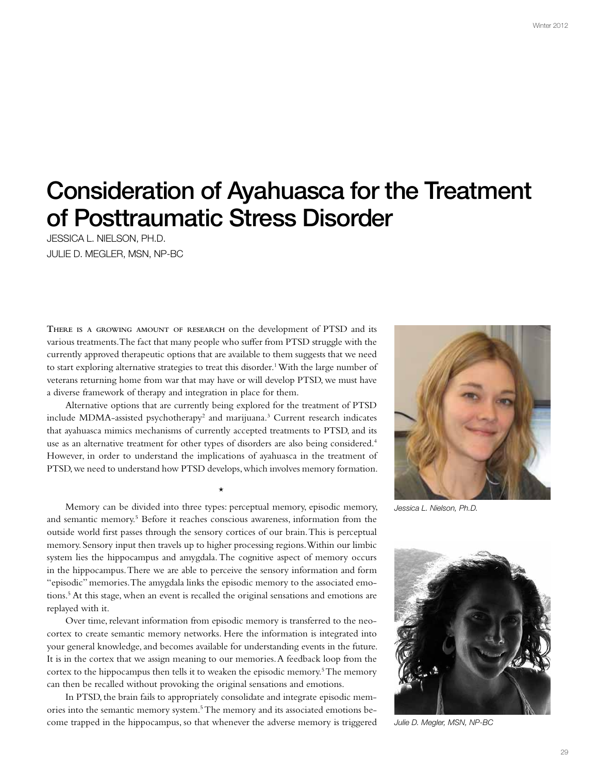## Consideration of Ayahuasca for the Treatment of Posttraumatic Stress Disorder

JESSICA L. NIELSON, PH.D. JULIE D. MEGLER, MSN, NP-BC

**THERE IS <sup>A</sup> GROWING AMOUNT OF RESEARCH** on the development of PTSD and its various treatments. The fact that many people who suffer from PTSD struggle with the currently approved therapeutic options that are available to them suggests that we need to start exploring alternative strategies to treat this disorder.<sup>1</sup> With the large number of veterans returning home from war that may have or will develop PTSD, we must have a diverse framework of therapy and integration in place for them.

Alternative options that are currently being explored for the treatment of PTSD include MDMA-assisted psychotherapy<sup>2</sup> and marijuana.<sup>3</sup> Current research indicates that ayahuasca mimics mechanisms of currently accepted treatments to PTSD, and its use as an alternative treatment for other types of disorders are also being considered.<sup>4</sup> However, in order to understand the implications of ayahuasca in the treatment of PTSD, we need to understand how PTSD develops, which involves memory formation.

\*

Jessica L. Nielson, Ph.D.

Memory can be divided into three types: perceptual memory, episodic memory, and semantic memory.<sup>5</sup> Before it reaches conscious awareness, information from the outside world first passes through the sensory cortices of our brain. This is perceptual memory. Sensory input then travels up to higher processing regions. Within our limbic system lies the hippocampus and amygdala. The cognitive aspect of memory occurs in the hippocampus. There we are able to perceive the sensory information and form "episodic" memories. The amygdala links the episodic memory to the associated emotions.<sup>5</sup> At this stage, when an event is recalled the original sensations and emotions are replayed with it.

Over time, relevant information from episodic memory is transferred to the neocortex to create semantic memory networks. Here the information is integrated into your general knowledge, and becomes available for understanding events in the future. It is in the cortex that we assign meaning to our memories. A feedback loop from the cortex to the hippocampus then tells it to weaken the episodic memory.<sup>5</sup> The memory can then be recalled without provoking the original sensations and emotions.

In PTSD, the brain fails to appropriately consolidate and integrate episodic memories into the semantic memory system.<sup>5</sup> The memory and its associated emotions become trapped in the hippocampus, so that whenever the adverse memory is triggered



Julie D. Megler, MSN, NP-BC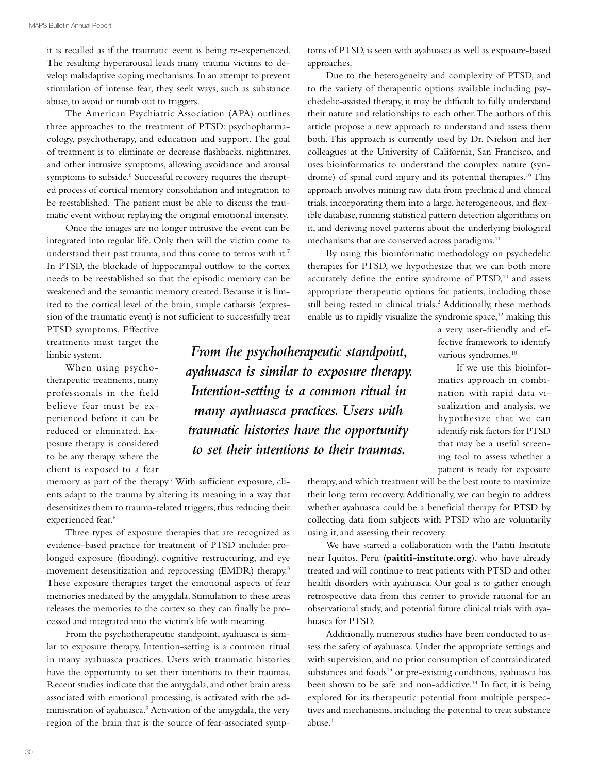it is recalled as if the traumatic event is being re-experienced. The resulting hyperarousal leads many trauma victims to develop maladaptive coping mechanisms. In an attempt to prevent stimulation of intense fear, they seek ways, such as substance abuse, to avoid or numb out to triggers.

The American Psychiatric Association (APA) outlines three approaches to the treatment of PTSD: psychopharmacology, psychotherapy, and education and support. The goal of treatment is to eliminate or decrease flashbacks, nightmares, and other intrusive symptoms, allowing avoidance and arousal symptoms to subside.<sup>6</sup> Successful recovery requires the disrupted process of cortical memory consolidation and integration to be reestablished. The patient must be able to discuss the traumatic event without replaying the original emotional intensity.

Once the images are no longer intrusive the event can be integrated into regular life. Only then will the victim come to understand their past trauma, and thus come to terms with it.<sup>7</sup> In PTSD, the blockade of hippocampal outflow to the cortex needs to be reestablished so that the episodic memory can be weakened and the semantic memory created. Because it is limited to the cortical level of the brain, simple catharsis (expression of the traumatic event) is not sufficient to successfully treat

PTSD symptoms. Effective treatments must target the limbic system.

When using psychotherapeutic treatments, many professionals in the field believe fear must be experienced before it can be reduced or eliminated. Exposure therapy is considered to be any therapy where the client is exposed to a fear

*From the psychotherapeutic standpoint, ayahuasca is similar to exposure therapy. Intention-setting is a common ritual in many ayahuasca practices. Users with traumatic histories have the opportunity to set their intentions to their traumas.* 

memory as part of the therapy.<sup>7</sup> With sufficient exposure, clients adapt to the trauma by altering its meaning in a way that desensitizes them to trauma-related triggers, thus reducing their experienced fear.<sup>6</sup>

Three types of exposure therapies that are recognized as evidence-based practice for treatment of PTSD include: prolonged exposure (flooding), cognitive restructuring, and eye movement desensitization and reprocessing (EMDR) therapy.8 These exposure therapies target the emotional aspects of fear memories mediated by the amygdala. Stimulation to these areas releases the memories to the cortex so they can finally be processed and integrated into the victim's life with meaning.

From the psychotherapeutic standpoint, ayahuasca is similar to exposure therapy. Intention-setting is a common ritual in many ayahuasca practices. Users with traumatic histories have the opportunity to set their intentions to their traumas. Recent studies indicate that the amygdala, and other brain areas associated with emotional processing, is activated with the administration of ayahuasca.9 Activation of the amygdala, the very region of the brain that is the source of fear-associated symptoms of PTSD, is seen with ayahuasca as well as exposure-based approaches.

Due to the heterogeneity and complexity of PTSD, and to the variety of therapeutic options available including psychedelic-assisted therapy, it may be difficult to fully understand their nature and relationships to each other. The authors of this article propose a new approach to understand and assess them both. This approach is currently used by Dr. Nielson and her colleagues at the University of California, San Francisco, and uses bioinformatics to understand the complex nature (syndrome) of spinal cord injury and its potential therapies.<sup>10</sup> This approach involves mining raw data from preclinical and clinical trials, incorporating them into a large, heterogeneous, and flexible database, running statistical pattern detection algorithms on it, and deriving novel patterns about the underlying biological mechanisms that are conserved across paradigms.<sup>11</sup>

By using this bioinformatic methodology on psychedelic therapies for PTSD, we hypothesize that we can both more accurately define the entire syndrome of PTSD,<sup>10</sup> and assess appropriate therapeutic options for patients, including those still being tested in clinical trials.<sup>2</sup> Additionally, these methods enable us to rapidly visualize the syndrome space, $12$  making this

> a very user-friendly and effective framework to identify various syndromes.10

> If we use this bioinformatics approach in combination with rapid data visualization and analysis, we hypothesize that we can identify risk factors for PTSD that may be a useful screening tool to assess whether a patient is ready for exposure

therapy, and which treatment will be the best route to maximize their long term recovery. Additionally, we can begin to address whether ayahuasca could be a beneficial therapy for PTSD by collecting data from subjects with PTSD who are voluntarily using it, and assessing their recovery.

We have started a collaboration with the Paititi Institute near Iquitos, Peru (**paititi-institute.org**), who have already treated and will continue to treat patients with PTSD and other health disorders with ayahuasca. Our goal is to gather enough retrospective data from this center to provide rational for an observational study, and potential future clinical trials with ayahuasca for PTSD.

Additionally, numerous studies have been conducted to assess the safety of ayahuasca. Under the appropriate settings and with supervision, and no prior consumption of contraindicated substances and foods<sup>13</sup> or pre-existing conditions, ayahuasca has been shown to be safe and non-addictive.<sup>14</sup> In fact, it is being explored for its therapeutic potential from multiple perspectives and mechanisms, including the potential to treat substance abuse.4